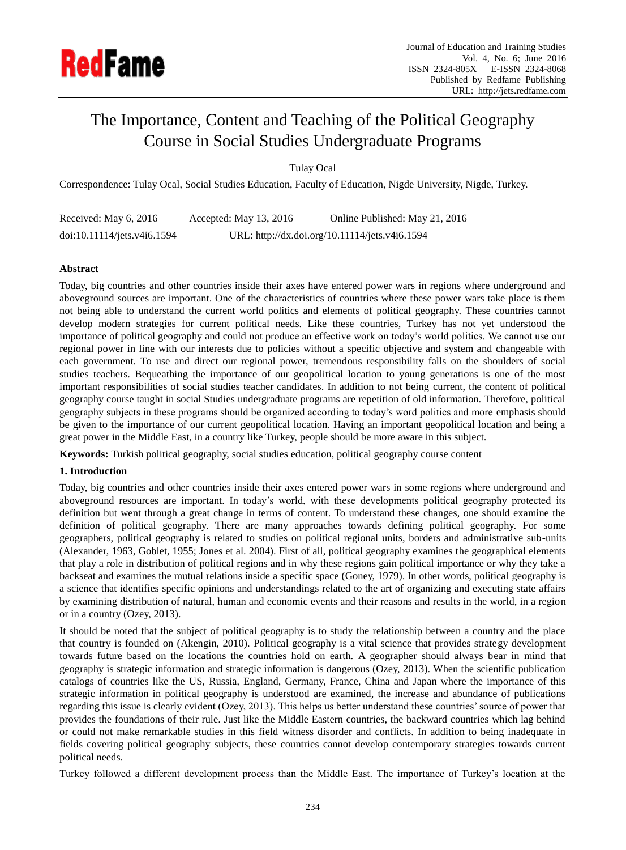

# The Importance, Content and Teaching of the Political Geography Course in Social Studies Undergraduate Programs

Tulay Ocal

Correspondence: Tulay Ocal, Social Studies Education, Faculty of Education, Nigde University, Nigde, Turkey.

| Received: May 6, 2016       | Accepted: May 13, 2016                         | Online Published: May 21, 2016 |
|-----------------------------|------------------------------------------------|--------------------------------|
| doi:10.11114/jets.v4i6.1594 | URL: http://dx.doi.org/10.11114/jets.v4i6.1594 |                                |

## **Abstract**

Today, big countries and other countries inside their axes have entered power wars in regions where underground and aboveground sources are important. One of the characteristics of countries where these power wars take place is them not being able to understand the current world politics and elements of political geography. These countries cannot develop modern strategies for current political needs. Like these countries, Turkey has not yet understood the importance of political geography and could not produce an effective work on today's world politics. We cannot use our regional power in line with our interests due to policies without a specific objective and system and changeable with each government. To use and direct our regional power, tremendous responsibility falls on the shoulders of social studies teachers. Bequeathing the importance of our geopolitical location to young generations is one of the most important responsibilities of social studies teacher candidates. In addition to not being current, the content of political geography course taught in social Studies undergraduate programs are repetition of old information. Therefore, political geography subjects in these programs should be organized according to today's word politics and more emphasis should be given to the importance of our current geopolitical location. Having an important geopolitical location and being a great power in the Middle East, in a country like Turkey, people should be more aware in this subject.

**Keywords:** Turkish political geography, social studies education, political geography course content

## **1. Introduction**

Today, big countries and other countries inside their axes entered power wars in some regions where underground and aboveground resources are important. In today's world, with these developments political geography protected its definition but went through a great change in terms of content. To understand these changes, one should examine the definition of political geography. There are many approaches towards defining political geography. For some geographers, political geography is related to studies on political regional units, borders and administrative sub-units (Alexander, 1963, Goblet, 1955; Jones et al. 2004). First of all, political geography examines the geographical elements that play a role in distribution of political regions and in why these regions gain political importance or why they take a backseat and examines the mutual relations inside a specific space (Goney, 1979). In other words, political geography is a science that identifies specific opinions and understandings related to the art of organizing and executing state affairs by examining distribution of natural, human and economic events and their reasons and results in the world, in a region or in a country (Ozey, 2013).

It should be noted that the subject of political geography is to study the relationship between a country and the place that country is founded on (Akengin, 2010). Political geography is a vital science that provides strategy development towards future based on the locations the countries hold on earth. A geographer should always bear in mind that geography is strategic information and strategic information is dangerous (Ozey, 2013). When the scientific publication catalogs of countries like the US, Russia, England, Germany, France, China and Japan where the importance of this strategic information in political geography is understood are examined, the increase and abundance of publications regarding this issue is clearly evident (Ozey, 2013). This helps us better understand these countries' source of power that provides the foundations of their rule. Just like the Middle Eastern countries, the backward countries which lag behind or could not make remarkable studies in this field witness disorder and conflicts. In addition to being inadequate in fields covering political geography subjects, these countries cannot develop contemporary strategies towards current political needs.

Turkey followed a different development process than the Middle East. The importance of Turkey's location at the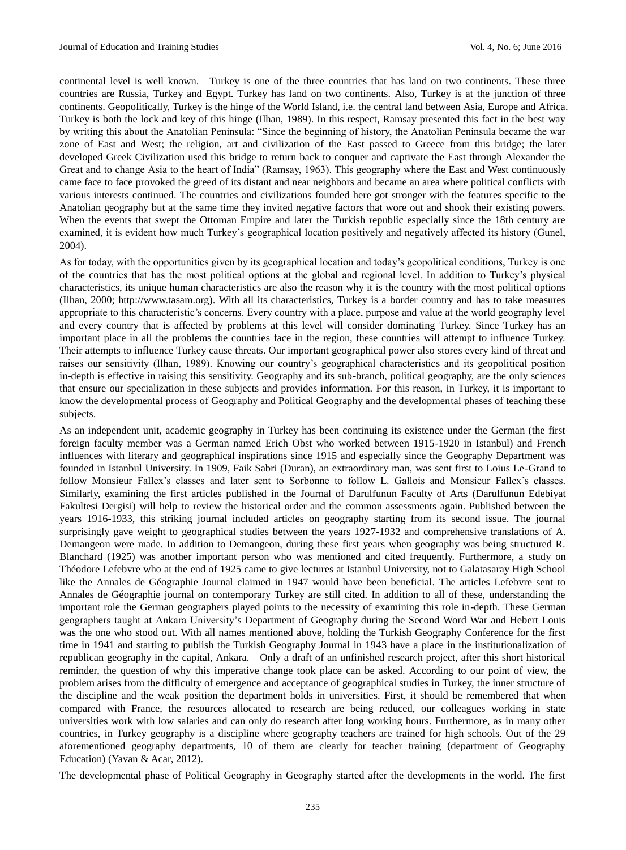continental level is well known. Turkey is one of the three countries that has land on two continents. These three countries are Russia, Turkey and Egypt. Turkey has land on two continents. Also, Turkey is at the junction of three continents. Geopolitically, Turkey is the hinge of the World Island, i.e. the central land between Asia, Europe and Africa. Turkey is both the lock and key of this hinge (Ilhan, 1989). In this respect, Ramsay presented this fact in the best way by writing this about the Anatolian Peninsula: "Since the beginning of history, the Anatolian Peninsula became the war zone of East and West; the religion, art and civilization of the East passed to Greece from this bridge; the later developed Greek Civilization used this bridge to return back to conquer and captivate the East through Alexander the Great and to change Asia to the heart of India" (Ramsay, 1963). This geography where the East and West continuously came face to face provoked the greed of its distant and near neighbors and became an area where political conflicts with various interests continued. The countries and civilizations founded here got stronger with the features specific to the Anatolian geography but at the same time they invited negative factors that wore out and shook their existing powers. When the events that swept the Ottoman Empire and later the Turkish republic especially since the 18th century are examined, it is evident how much Turkey's geographical location positively and negatively affected its history (Gunel, 2004).

As for today, with the opportunities given by its geographical location and today's geopolitical conditions, Turkey is one of the countries that has the most political options at the global and regional level. In addition to Turkey's physical characteristics, its unique human characteristics are also the reason why it is the country with the most political options (Ilhan, 2000; http://www.tasam.org). With all its characteristics, Turkey is a border country and has to take measures appropriate to this characteristic's concerns. Every country with a place, purpose and value at the world geography level and every country that is affected by problems at this level will consider dominating Turkey. Since Turkey has an important place in all the problems the countries face in the region, these countries will attempt to influence Turkey. Their attempts to influence Turkey cause threats. Our important geographical power also stores every kind of threat and raises our sensitivity (Ilhan, 1989). Knowing our country's geographical characteristics and its geopolitical position in-depth is effective in raising this sensitivity. Geography and its sub-branch, political geography, are the only sciences that ensure our specialization in these subjects and provides information. For this reason, in Turkey, it is important to know the developmental process of Geography and Political Geography and the developmental phases of teaching these subjects.

As an independent unit, academic geography in Turkey has been continuing its existence under the German (the first foreign faculty member was a German named Erich Obst who worked between 1915-1920 in Istanbul) and French influences with literary and geographical inspirations since 1915 and especially since the Geography Department was founded in Istanbul University. In 1909, Faik Sabri (Duran), an extraordinary man, was sent first to Loius Le-Grand to follow Monsieur Fallex's classes and later sent to Sorbonne to follow L. Gallois and Monsieur Fallex's classes. Similarly, examining the first articles published in the Journal of Darulfunun Faculty of Arts (Darulfunun Edebiyat Fakultesi Dergisi) will help to review the historical order and the common assessments again. Published between the years 1916-1933, this striking journal included articles on geography starting from its second issue. The journal surprisingly gave weight to geographical studies between the years 1927-1932 and comprehensive translations of A. Demangeon were made. In addition to Demangeon, during these first years when geography was being structured R. Blanchard (1925) was another important person who was mentioned and cited frequently. Furthermore, a study on Théodore Lefebvre who at the end of 1925 came to give lectures at Istanbul University, not to Galatasaray High School like the Annales de Géographie Journal claimed in 1947 would have been beneficial. The articles Lefebvre sent to Annales de Géographie journal on contemporary Turkey are still cited. In addition to all of these, understanding the important role the German geographers played points to the necessity of examining this role in-depth. These German geographers taught at Ankara University's Department of Geography during the Second Word War and Hebert Louis was the one who stood out. With all names mentioned above, holding the Turkish Geography Conference for the first time in 1941 and starting to publish the Turkish Geography Journal in 1943 have a place in the institutionalization of republican geography in the capital, Ankara. Only a draft of an unfinished research project, after this short historical reminder, the question of why this imperative change took place can be asked. According to our point of view, the problem arises from the difficulty of emergence and acceptance of geographical studies in Turkey, the inner structure of the discipline and the weak position the department holds in universities. First, it should be remembered that when compared with France, the resources allocated to research are being reduced, our colleagues working in state universities work with low salaries and can only do research after long working hours. Furthermore, as in many other countries, in Turkey geography is a discipline where geography teachers are trained for high schools. Out of the 29 aforementioned geography departments, 10 of them are clearly for teacher training (department of Geography Education) (Yavan & Acar, 2012).

The developmental phase of Political Geography in Geography started after the developments in the world. The first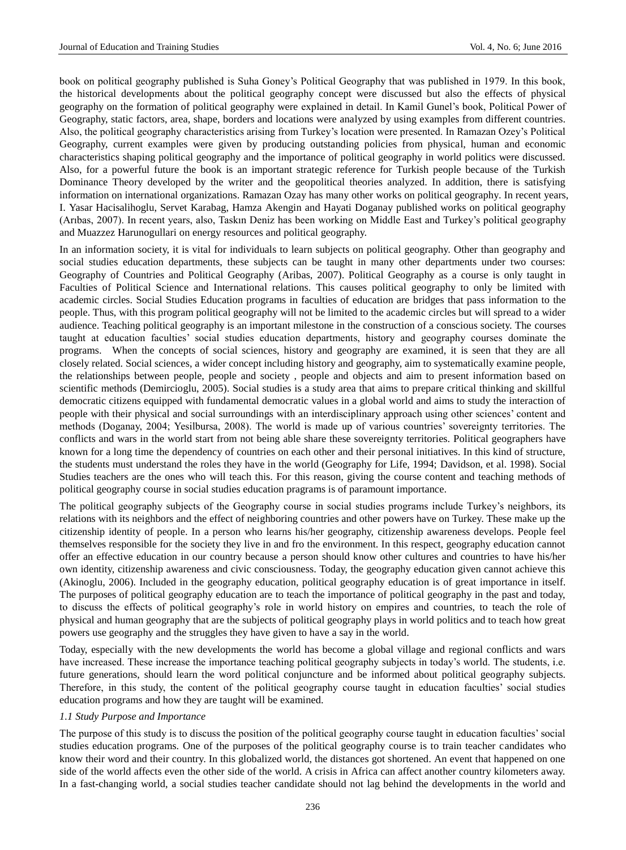book on political geography published is Suha Goney's Political Geography that was published in 1979. In this book, the historical developments about the political geography concept were discussed but also the effects of physical geography on the formation of political geography were explained in detail. In Kamil Gunel's book, Political Power of Geography, static factors, area, shape, borders and locations were analyzed by using examples from different countries. Also, the political geography characteristics arising from Turkey's location were presented. In Ramazan Ozey's Political Geography, current examples were given by producing outstanding policies from physical, human and economic characteristics shaping political geography and the importance of political geography in world politics were discussed. Also, for a powerful future the book is an important strategic reference for Turkish people because of the Turkish Dominance Theory developed by the writer and the geopolitical theories analyzed. In addition, there is satisfying information on international organizations. Ramazan Ozay has many other works on political geography. In recent years, I. Yasar Hacisalihoglu, Servet Karabag, Hamza Akengin and Hayati Doganay published works on political geography (Arıbas, 2007). In recent years, also, Taskın Deniz has been working on Middle East and Turkey's political geography and Muazzez Harunogullari on energy resources and political geography.

In an information society, it is vital for individuals to learn subjects on political geography. Other than geography and social studies education departments, these subjects can be taught in many other departments under two courses: Geography of Countries and Political Geography (Aribas, 2007). Political Geography as a course is only taught in Faculties of Political Science and International relations. This causes political geography to only be limited with academic circles. Social Studies Education programs in faculties of education are bridges that pass information to the people. Thus, with this program political geography will not be limited to the academic circles but will spread to a wider audience. Teaching political geography is an important milestone in the construction of a conscious society. The courses taught at education faculties' social studies education departments, history and geography courses dominate the programs. When the concepts of social sciences, history and geography are examined, it is seen that they are all closely related. Social sciences, a wider concept including history and geography, aim to systematically examine people, the relationships between people, people and society , people and objects and aim to present information based on scientific methods (Demircioglu, 2005). Social studies is a study area that aims to prepare critical thinking and skillful democratic citizens equipped with fundamental democratic values in a global world and aims to study the interaction of people with their physical and social surroundings with an interdisciplinary approach using other sciences' content and methods (Doganay, 2004; Yesilbursa, 2008). The world is made up of various countries' sovereignty territories. The conflicts and wars in the world start from not being able share these sovereignty territories. Political geographers have known for a long time the dependency of countries on each other and their personal initiatives. In this kind of structure, the students must understand the roles they have in the world (Geography for Life, 1994; Davidson, et al. 1998). Social Studies teachers are the ones who will teach this. For this reason, giving the course content and teaching methods of political geography course in social studies education pragrams is of paramount importance.

The political geography subjects of the Geography course in social studies programs include Turkey's neighbors, its relations with its neighbors and the effect of neighboring countries and other powers have on Turkey. These make up the citizenship identity of people. In a person who learns his/her geography, citizenship awareness develops. People feel themselves responsible for the society they live in and fro the environment. In this respect, geography education cannot offer an effective education in our country because a person should know other cultures and countries to have his/her own identity, citizenship awareness and civic consciousness. Today, the geography education given cannot achieve this (Akinoglu, 2006). Included in the geography education, political geography education is of great importance in itself. The purposes of political geography education are to teach the importance of political geography in the past and today, to discuss the effects of political geography's role in world history on empires and countries, to teach the role of physical and human geography that are the subjects of political geography plays in world politics and to teach how great powers use geography and the struggles they have given to have a say in the world.

Today, especially with the new developments the world has become a global village and regional conflicts and wars have increased. These increase the importance teaching political geography subjects in today's world. The students, i.e. future generations, should learn the word political conjuncture and be informed about political geography subjects. Therefore, in this study, the content of the political geography course taught in education faculties' social studies education programs and how they are taught will be examined.

#### *1.1 Study Purpose and Importance*

The purpose of this study is to discuss the position of the political geography course taught in education faculties' social studies education programs. One of the purposes of the political geography course is to train teacher candidates who know their word and their country. In this globalized world, the distances got shortened. An event that happened on one side of the world affects even the other side of the world. A crisis in Africa can affect another country kilometers away. In a fast-changing world, a social studies teacher candidate should not lag behind the developments in the world and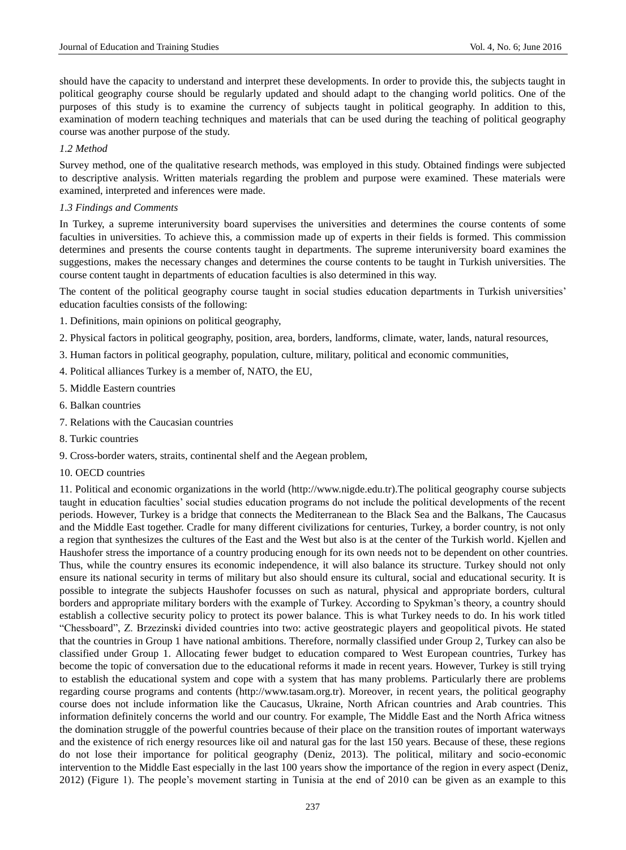should have the capacity to understand and interpret these developments. In order to provide this, the subjects taught in political geography course should be regularly updated and should adapt to the changing world politics. One of the purposes of this study is to examine the currency of subjects taught in political geography. In addition to this, examination of modern teaching techniques and materials that can be used during the teaching of political geography course was another purpose of the study.

#### *1.2 Method*

Survey method, one of the qualitative research methods, was employed in this study. Obtained findings were subjected to descriptive analysis. Written materials regarding the problem and purpose were examined. These materials were examined, interpreted and inferences were made.

#### *1.3 Findings and Comments*

In Turkey, a supreme interuniversity board supervises the universities and determines the course contents of some faculties in universities. To achieve this, a commission made up of experts in their fields is formed. This commission determines and presents the course contents taught in departments. The supreme interuniversity board examines the suggestions, makes the necessary changes and determines the course contents to be taught in Turkish universities. The course content taught in departments of education faculties is also determined in this way.

The content of the political geography course taught in social studies education departments in Turkish universities' education faculties consists of the following:

- 1. Definitions, main opinions on political geography,
- 2. Physical factors in political geography, position, area, borders, landforms, climate, water, lands, natural resources,
- 3. Human factors in political geography, population, culture, military, political and economic communities,
- 4. Political alliances Turkey is a member of, NATO, the EU,
- 5. Middle Eastern countries
- 6. Balkan countries
- 7. Relations with the Caucasian countries
- 8. Turkic countries
- 9. Cross-border waters, straits, continental shelf and the Aegean problem,
- 10. OECD countries

11. Political and economic organizations in the world (http://www.nigde.edu.tr).The political geography course subjects taught in education faculties' social studies education programs do not include the political developments of the recent periods. However, Turkey is a bridge that connects the Mediterranean to the Black Sea and the Balkans, The Caucasus and the Middle East together. Cradle for many different civilizations for centuries, Turkey, a border country, is not only a region that synthesizes the cultures of the East and the West but also is at the center of the Turkish world. Kjellen and Haushofer stress the importance of a country producing enough for its own needs not to be dependent on other countries. Thus, while the country ensures its economic independence, it will also balance its structure. Turkey should not only ensure its national security in terms of military but also should ensure its cultural, social and educational security. It is possible to integrate the subjects Haushofer focusses on such as natural, physical and appropriate borders, cultural borders and appropriate military borders with the example of Turkey. According to Spykman's theory, a country should establish a collective security policy to protect its power balance. This is what Turkey needs to do. In his work titled "Chessboard", Z. Brzezinski divided countries into two: active geostrategic players and geopolitical pivots. He stated that the countries in Group 1 have national ambitions. Therefore, normally classified under Group 2, Turkey can also be classified under Group 1. Allocating fewer budget to education compared to West European countries, Turkey has become the topic of conversation due to the educational reforms it made in recent years. However, Turkey is still trying to establish the educational system and cope with a system that has many problems. Particularly there are problems regarding course programs and contents (http://www.tasam.org.tr). Moreover, in recent years, the political geography course does not include information like the Caucasus, Ukraine, North African countries and Arab countries. This information definitely concerns the world and our country. For example, The Middle East and the North Africa witness the domination struggle of the powerful countries because of their place on the transition routes of important waterways and the existence of rich energy resources like oil and natural gas for the last 150 years. Because of these, these regions do not lose their importance for political geography (Deniz, 2013). The political, military and socio-economic intervention to the Middle East especially in the last 100 years show the importance of the region in every aspect (Deniz, 2012) (Figure 1). The people's movement starting in Tunisia at the end of 2010 can be given as an example to this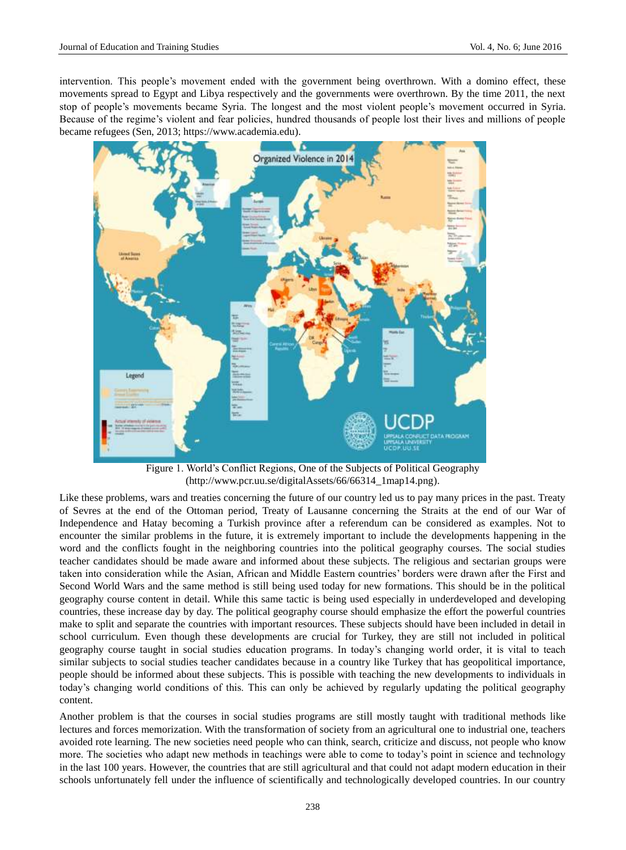intervention. This people's movement ended with the government being overthrown. With a domino effect, these movements spread to Egypt and Libya respectively and the governments were overthrown. By the time 2011, the next stop of people's movements became Syria. The longest and the most violent people's movement occurred in Syria. Because of the regime's violent and fear policies, hundred thousands of people lost their lives and millions of people became refugees (Sen, 2013; https://www.academia.edu).



Figure 1. World's Conflict Regions, One of the Subjects of Political Geography (http://www.pcr.uu.se/digitalAssets/66/66314\_1map14.png).

Like these problems, wars and treaties concerning the future of our country led us to pay many prices in the past. Treaty of Sevres at the end of the Ottoman period, Treaty of Lausanne concerning the Straits at the end of our War of Independence and Hatay becoming a Turkish province after a referendum can be considered as examples. Not to encounter the similar problems in the future, it is extremely important to include the developments happening in the word and the conflicts fought in the neighboring countries into the political geography courses. The social studies teacher candidates should be made aware and informed about these subjects. The religious and sectarian groups were taken into consideration while the Asian, African and Middle Eastern countries' borders were drawn after the First and Second World Wars and the same method is still being used today for new formations. This should be in the political geography course content in detail. While this same tactic is being used especially in underdeveloped and developing countries, these increase day by day. The political geography course should emphasize the effort the powerful countries make to split and separate the countries with important resources. These subjects should have been included in detail in school curriculum. Even though these developments are crucial for Turkey, they are still not included in political geography course taught in social studies education programs. In today's changing world order, it is vital to teach similar subjects to social studies teacher candidates because in a country like Turkey that has geopolitical importance, people should be informed about these subjects. This is possible with teaching the new developments to individuals in today's changing world conditions of this. This can only be achieved by regularly updating the political geography content.

Another problem is that the courses in social studies programs are still mostly taught with traditional methods like lectures and forces memorization. With the transformation of society from an agricultural one to industrial one, teachers avoided rote learning. The new societies need people who can think, search, criticize and discuss, not people who know more. The societies who adapt new methods in teachings were able to come to today's point in science and technology in the last 100 years. However, the countries that are still agricultural and that could not adapt modern education in their schools unfortunately fell under the influence of scientifically and technologically developed countries. In our country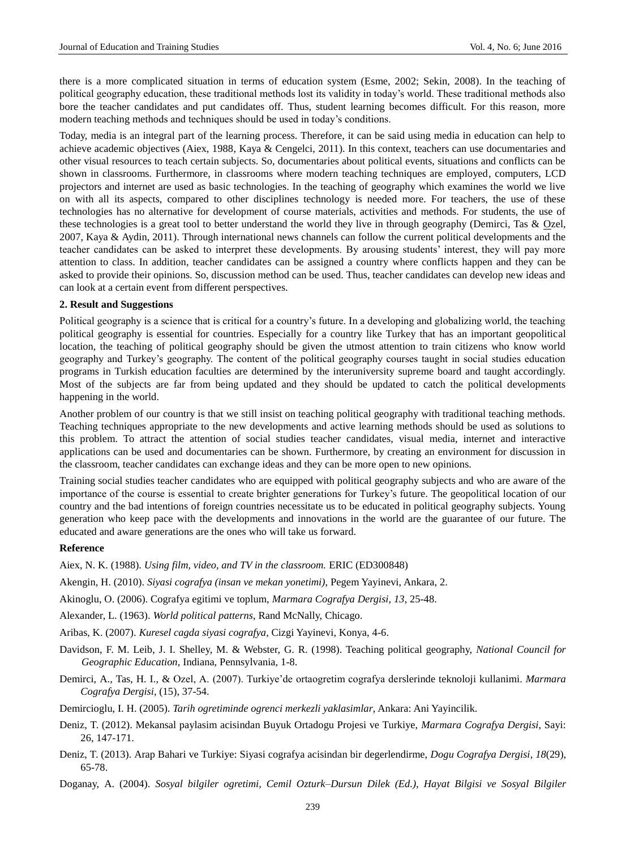there is a more complicated situation in terms of education system (Esme, 2002; Sekin, 2008). In the teaching of political geography education, these traditional methods lost its validity in today's world. These traditional methods also bore the teacher candidates and put candidates off. Thus, student learning becomes difficult. For this reason, more modern teaching methods and techniques should be used in today's conditions.

Today, media is an integral part of the learning process. Therefore, it can be said using media in education can help to achieve academic objectives (Aiex, 1988, Kaya & Cengelci, 2011). In this context, teachers can use documentaries and other visual resources to teach certain subjects. So, documentaries about political events, situations and conflicts can be shown in classrooms. Furthermore, in classrooms where modern teaching techniques are employed, computers, LCD projectors and internet are used as basic technologies. In the teaching of geography which examines the world we live on with all its aspects, compared to other disciplines technology is needed more. For teachers, the use of these technologies has no alternative for development of course materials, activities and methods. For students, the use of these technologies is a great tool to better understand the world they live in through geography (Demirci, Tas & Ozel, 2007, Kaya & Aydin, 2011). Through international news channels can follow the current political developments and the teacher candidates can be asked to interpret these developments. By arousing students' interest, they will pay more attention to class. In addition, teacher candidates can be assigned a country where conflicts happen and they can be asked to provide their opinions. So, discussion method can be used. Thus, teacher candidates can develop new ideas and can look at a certain event from different perspectives.

### **2. Result and Suggestions**

Political geography is a science that is critical for a country's future. In a developing and globalizing world, the teaching political geography is essential for countries. Especially for a country like Turkey that has an important geopolitical location, the teaching of political geography should be given the utmost attention to train citizens who know world geography and Turkey's geography. The content of the political geography courses taught in social studies education programs in Turkish education faculties are determined by the interuniversity supreme board and taught accordingly. Most of the subjects are far from being updated and they should be updated to catch the political developments happening in the world.

Another problem of our country is that we still insist on teaching political geography with traditional teaching methods. Teaching techniques appropriate to the new developments and active learning methods should be used as solutions to this problem. To attract the attention of social studies teacher candidates, visual media, internet and interactive applications can be used and documentaries can be shown. Furthermore, by creating an environment for discussion in the classroom, teacher candidates can exchange ideas and they can be more open to new opinions.

Training social studies teacher candidates who are equipped with political geography subjects and who are aware of the importance of the course is essential to create brighter generations for Turkey's future. The geopolitical location of our country and the bad intentions of foreign countries necessitate us to be educated in political geography subjects. Young generation who keep pace with the developments and innovations in the world are the guarantee of our future. The educated and aware generations are the ones who will take us forward.

#### **Reference**

Aiex, N. K. (1988). *Using film, video, and TV in the classroom.* ERIC (ED300848)

- Akengin, H. (2010). *Siyasi cografya (insan ve mekan yonetimi)*, Pegem Yayinevi, Ankara, 2.
- Akinoglu, O. (2006). Cografya egitimi ve toplum, *Marmara Cografya Dergisi*, *13*, 25-48.
- Alexander, L. (1963). *World political patterns*, Rand McNally, Chicago.

Aribas, K. (2007). *Kuresel cagda siyasi cografya*, Cizgi Yayinevi, Konya, 4-6.

- Davidson, F. M. Leib, J. I. Shelley, M. & Webster, G. R. (1998). Teaching political geography, *National Council for Geographic Education*, Indiana, Pennsylvania, 1-8.
- Demirci, A., Tas, H. I., & Ozel, A. (2007). Turkiye'de ortaogretim cografya derslerinde teknoloji kullanimi. *Marmara Cografya Dergisi*, (15), 37-54.

Demircioglu, I. H. (2005). *Tarih ogretiminde ogrenci merkezli yaklasimlar*, Ankara: Ani Yayincilik.

- Deniz, T. (2012). Mekansal paylasim acisindan Buyuk Ortadogu Projesi ve Turkiye, *Marmara Cografya Dergisi*, Sayi: 26, 147-171.
- Deniz, T. (2013). Arap Bahari ve Turkiye: Siyasi cografya acisindan bir degerlendirme, *Dogu Cografya Dergisi*, *18*(29), 65-78.

Doganay, A. (2004). *Sosyal bilgiler ogretimi, Cemil Ozturk–Dursun Dilek (Ed.), Hayat Bilgisi ve Sosyal Bilgiler*